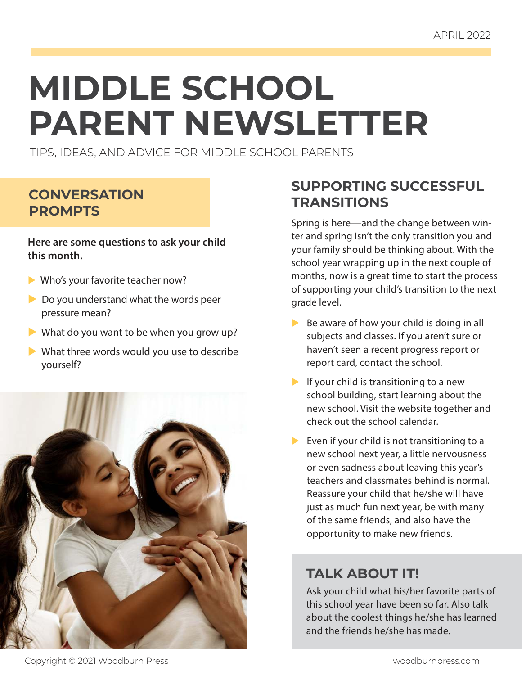# **MIDDLE SCHOOL PARENT NEWSLETTER**

TIPS, IDEAS, AND ADVICE FOR MIDDLE SCHOOL PARENTS

#### **CONVERSATION PROMPTS**

**Here are some questions to ask your child this month.**

- $\blacktriangleright$  Who's your favorite teacher now?
- $\triangleright$  Do you understand what the words peer pressure mean?
- $\blacktriangleright$  What do you want to be when you grow up?
- $\blacktriangleright$  What three words would you use to describe yourself?



#### **SUPPORTING SUCCESSFUL TRANSITIONS**

Spring is here—and the change between winter and spring isn't the only transition you and your family should be thinking about. With the school year wrapping up in the next couple of months, now is a great time to start the process of supporting your child's transition to the next grade level.

- $\triangleright$  Be aware of how your child is doing in all subjects and classes. If you aren't sure or haven't seen a recent progress report or report card, contact the school.
- $\blacktriangleright$  If your child is transitioning to a new school building, start learning about the new school. Visit the website together and check out the school calendar.
- $\blacktriangleright$  Even if your child is not transitioning to a new school next year, a little nervousness or even sadness about leaving this year's teachers and classmates behind is normal. Reassure your child that he/she will have just as much fun next year, be with many of the same friends, and also have the opportunity to make new friends.

### **TALK ABOUT IT!**

Ask your child what his/her favorite parts of this school year have been so far. Also talk about the coolest things he/she has learned and the friends he/she has made.

Copyright © 2021 Woodburn Press woodburnpress.com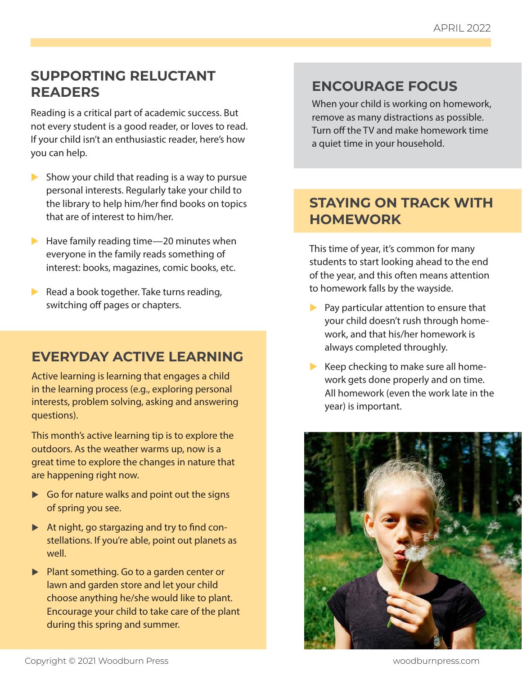#### **SUPPORTING RELUCTANT READERS**

Reading is a critical part of academic success. But not every student is a good reader, or loves to read. If your child isn't an enthusiastic reader, here's how you can help.

- $\triangleright$  Show your child that reading is a way to pursue personal interests. Regularly take your child to the library to help him/her find books on topics that are of interest to him/her.
- $\blacktriangleright$  Have family reading time—20 minutes when everyone in the family reads something of interest: books, magazines, comic books, etc.
- Read a book together. Take turns reading, switching off pages or chapters.

#### **EVERYDAY ACTIVE LEARNING**

Active learning is learning that engages a child in the learning process (e.g., exploring personal interests, problem solving, asking and answering questions).

This month's active learning tip is to explore the outdoors. As the weather warms up, now is a great time to explore the changes in nature that are happening right now.

- $\triangleright$  Go for nature walks and point out the signs of spring you see.
- $\blacktriangleright$  At night, go stargazing and try to find constellations. If you're able, point out planets as well.
- $\blacktriangleright$  Plant something. Go to a garden center or lawn and garden store and let your child choose anything he/she would like to plant. Encourage your child to take care of the plant during this spring and summer.

#### **ENCOURAGE FOCUS**

When your child is working on homework, remove as many distractions as possible. Turn off the TV and make homework time a quiet time in your household.

#### **STAYING ON TRACK WITH HOMEWORK**

This time of year, it's common for many students to start looking ahead to the end of the year, and this often means attention to homework falls by the wayside.

- $\blacktriangleright$  Pay particular attention to ensure that your child doesn't rush through homework, and that his/her homework is always completed throughly.
- $\blacktriangleright$  Keep checking to make sure all homework gets done properly and on time. All homework (even the work late in the year) is important.

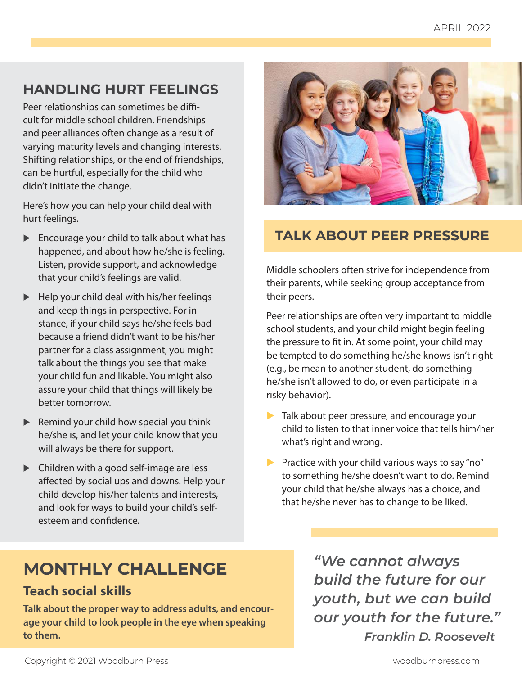## **HANDLING HURT FEELINGS**

Peer relationships can sometimes be difficult for middle school children. Friendships and peer alliances often change as a result of varying maturity levels and changing interests. Shifting relationships, or the end of friendships, can be hurtful, especially for the child who didn't initiate the change.

Here's how you can help your child deal with hurt feelings.

- $\blacktriangleright$  Encourage your child to talk about what has happened, and about how he/she is feeling. Listen, provide support, and acknowledge that your child's feelings are valid.
- $\blacktriangleright$  Help your child deal with his/her feelings and keep things in perspective. For instance, if your child says he/she feels bad because a friend didn't want to be his/her partner for a class assignment, you might talk about the things you see that make your child fun and likable. You might also assure your child that things will likely be better tomorrow.
- $\blacktriangleright$  Remind your child how special you think he/she is, and let your child know that you will always be there for support.
- $\blacktriangleright$  Children with a good self-image are less affected by social ups and downs. Help your child develop his/her talents and interests, and look for ways to build your child's selfesteem and confidence.



## **TALK ABOUT PEER PRESSURE**

Middle schoolers often strive for independence from their parents, while seeking group acceptance from their peers.

Peer relationships are often very important to middle school students, and your child might begin feeling the pressure to fit in. At some point, your child may be tempted to do something he/she knows isn't right (e.g., be mean to another student, do something he/she isn't allowed to do, or even participate in a risky behavior).

- $\blacktriangleright$  Talk about peer pressure, and encourage your child to listen to that inner voice that tells him/her what's right and wrong.
- **Practice with your child various ways to say "no"** to something he/she doesn't want to do. Remind your child that he/she always has a choice, and that he/she never has to change to be liked.

# **MONTHLY CHALLENGE**

#### **Teach social skills**

**Talk about the proper way to address adults, and encourage your child to look people in the eye when speaking to them.**

*"We cannot always build the future for our youth, but we can build our youth for the future." Franklin D. Roosevelt*